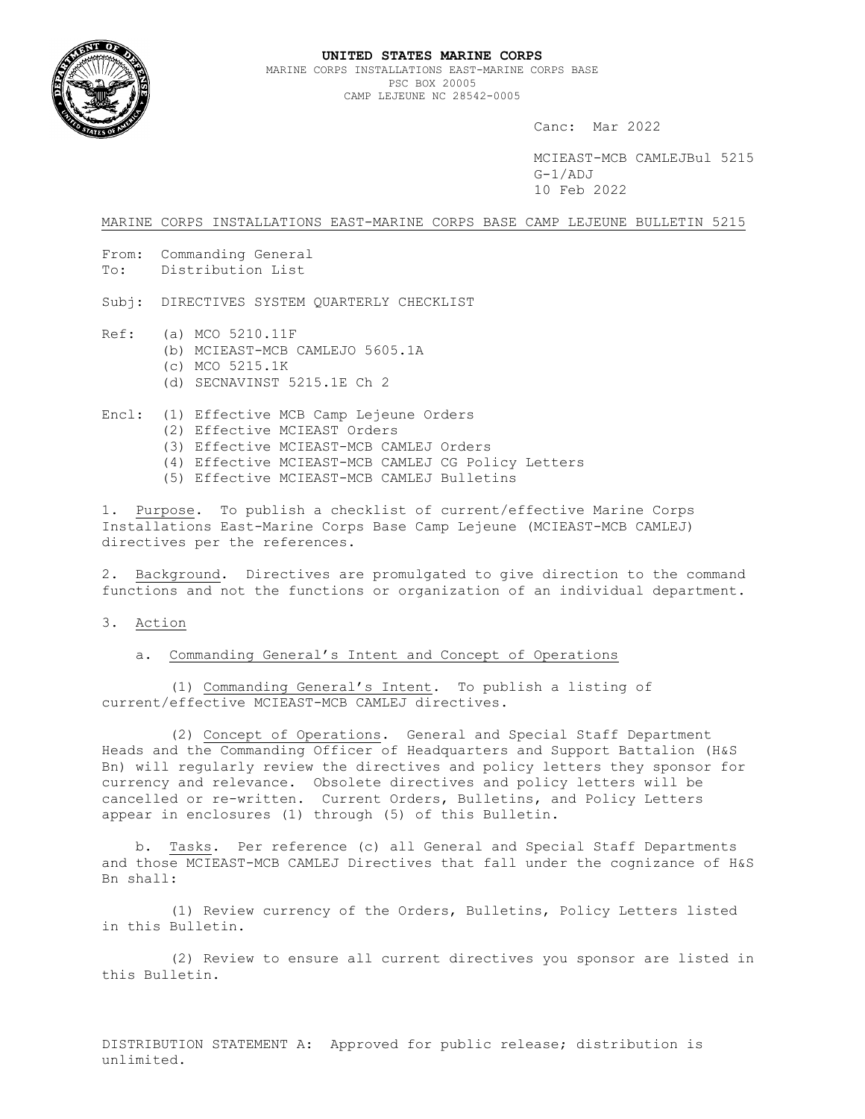

Canc: Mar 2022

MCIEAST-MCB CAMLEJBul 5215 G-1/ADJ 10 Feb 2022

MARINE CORPS INSTALLATIONS EAST-MARINE CORPS BASE CAMP LEJEUNE BULLETIN 5215

From: Commanding General To: Distribution List

Subj: DIRECTIVES SYSTEM QUARTERLY CHECKLIST

- Ref: (a) MCO 5210.11F (b) MCIEAST-MCB CAMLEJO 5605.1A (c) MCO 5215.1K (d) SECNAVINST 5215.1E Ch 2
- Encl: (1) Effective MCB Camp Lejeune Orders (2) Effective MCIEAST Orders (3) Effective MCIEAST-MCB CAMLEJ Orders (4) Effective MCIEAST-MCB CAMLEJ CG Policy Letters (5) Effective MCIEAST-MCB CAMLEJ Bulletins
	-

1. Purpose. To publish a checklist of current/effective Marine Corps Installations East-Marine Corps Base Camp Lejeune (MCIEAST-MCB CAMLEJ) directives per the references.

2. Background. Directives are promulgated to give direction to the command functions and not the functions or organization of an individual department.

- 3. Action
	- a. Commanding General's Intent and Concept of Operations

(1) Commanding General's Intent. To publish a listing of current/effective MCIEAST-MCB CAMLEJ directives.

 (2) Concept of Operations. General and Special Staff Department Heads and the Commanding Officer of Headquarters and Support Battalion (H&S Bn) will regularly review the directives and policy letters they sponsor for currency and relevance. Obsolete directives and policy letters will be cancelled or re-written. Current Orders, Bulletins, and Policy Letters appear in enclosures (1) through (5) of this Bulletin.

b. Tasks. Per reference (c) all General and Special Staff Departments and those MCIEAST-MCB CAMLEJ Directives that fall under the cognizance of H&S Bn shall:

(1) Review currency of the Orders, Bulletins, Policy Letters listed in this Bulletin.

(2) Review to ensure all current directives you sponsor are listed in this Bulletin.

DISTRIBUTION STATEMENT A: Approved for public release; distribution is unlimited.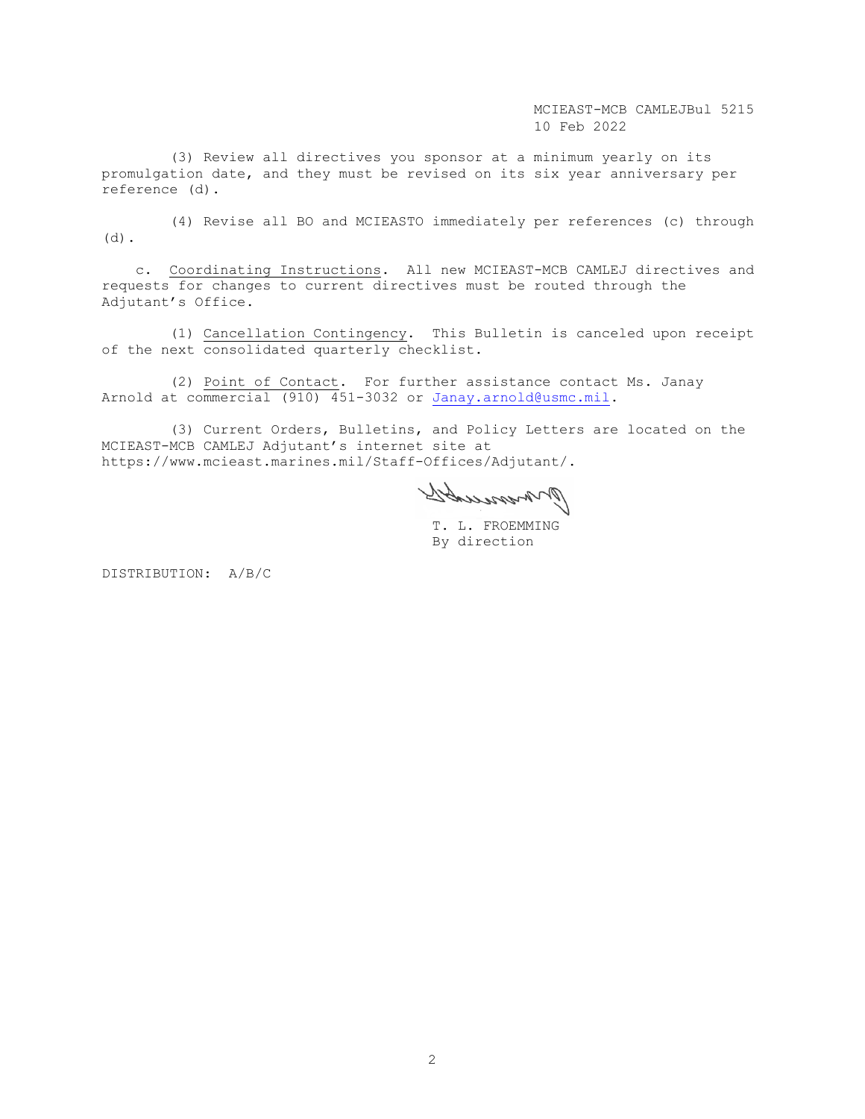(3) Review all directives you sponsor at a minimum yearly on its promulgation date, and they must be revised on its six year anniversary per reference (d).

(4) Revise all BO and MCIEASTO immediately per references (c) through (d).

c. Coordinating Instructions. All new MCIEAST-MCB CAMLEJ directives and requests for changes to current directives must be routed through the Adjutant's Office.

(1) Cancellation Contingency. This Bulletin is canceled upon receipt of the next consolidated quarterly checklist.

(2) Point of Contact. For further assistance contact Ms. Janay Arnold at commercial (910) 451-3032 or [Janay.arnold@usmc.mil.](mailto:Janay.arnold@usmc.mil)

(3) Current Orders, Bulletins, and Policy Letters are located on the MCIEAST-MCB CAMLEJ Adjutant's internet site at https://www.mcieast.marines.mil/Staff-Offices/Adjutant/.

Ormmonds

T. L. FROEMMING By direction

DISTRIBUTION: A/B/C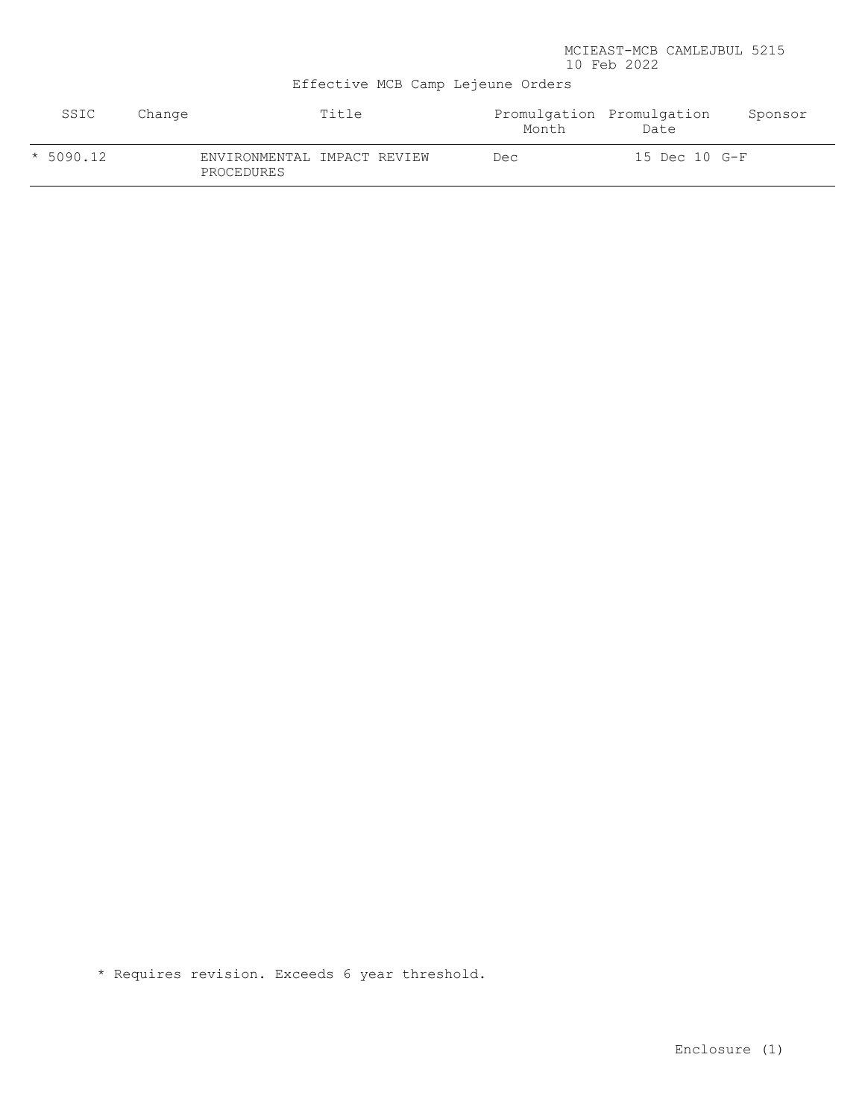Effective MCB Camp Lejeune Orders

| SSIC        | Change |                                           | Title | Promulgation Promulgation<br>Month | Date          | Sponsor |
|-------------|--------|-------------------------------------------|-------|------------------------------------|---------------|---------|
| $* 5090.12$ |        | ENVIRONMENTAL IMPACT REVIEW<br>PROCEDURES |       | Dec                                | 15 Dec 10 G-F |         |

\* Requires revision. Exceeds 6 year threshold.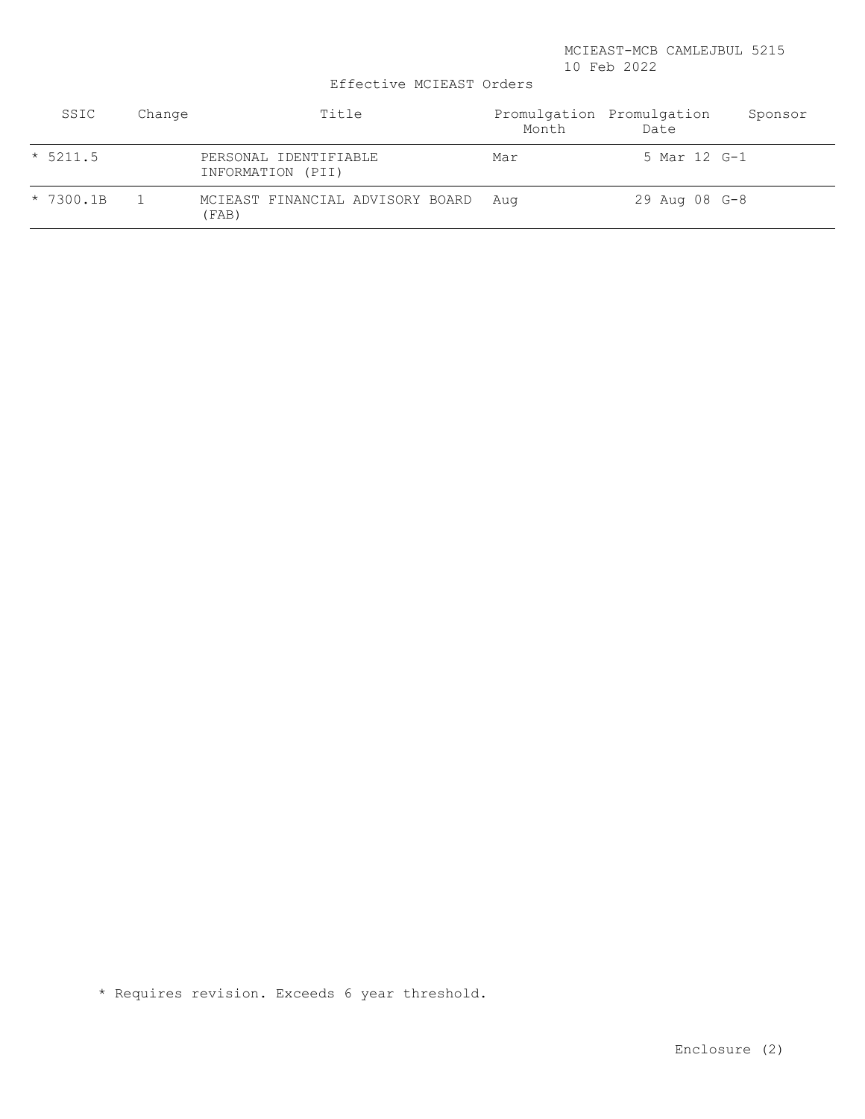Effective MCIEAST Orders

| SSIC        | Change | Title                                      | Month | Promulgation Promulgation<br>Date | Sponsor |
|-------------|--------|--------------------------------------------|-------|-----------------------------------|---------|
| $* 5211.5$  |        | PERSONAL IDENTIFIABLE<br>INFORMATION (PII) | Mar   | 5 Mar 12 G-1                      |         |
| $* 7300.1B$ |        | MCIEAST FINANCIAL ADVISORY BOARD<br>(FAB)  | Aua   | 29 Aug 08 G-8                     |         |

\* Requires revision. Exceeds 6 year threshold.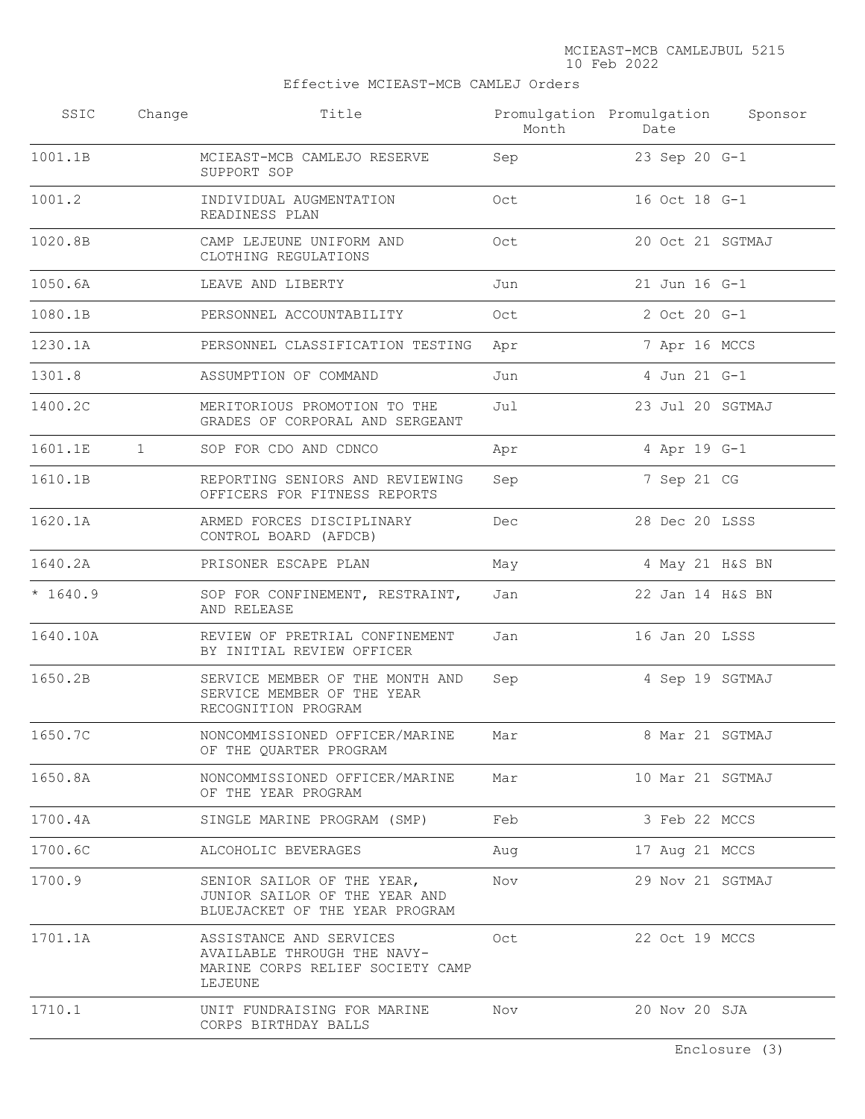Effective MCIEAST-MCB CAMLEJ Orders

| SSIC      | Change | Title                                                                                                 | Month | Promulgation Promulgation<br>Date | Sponsor |
|-----------|--------|-------------------------------------------------------------------------------------------------------|-------|-----------------------------------|---------|
| 1001.1B   |        | MCIEAST-MCB CAMLEJO RESERVE<br>SUPPORT SOP                                                            | Sep   | 23 Sep 20 G-1                     |         |
| 1001.2    |        | INDIVIDUAL AUGMENTATION<br>READINESS PLAN                                                             | Oct   | 16 Oct 18 G-1                     |         |
| 1020.8B   |        | CAMP LEJEUNE UNIFORM AND<br>CLOTHING REGULATIONS                                                      | Oct   | 20 Oct 21 SGTMAJ                  |         |
| 1050.6A   |        | LEAVE AND LIBERTY                                                                                     | Jun   | 21 Jun 16 G-1                     |         |
| 1080.1B   |        | PERSONNEL ACCOUNTABILITY                                                                              | Oct   | 2 Oct 20 G-1                      |         |
| 1230.1A   |        | PERSONNEL CLASSIFICATION TESTING                                                                      | Apr   | 7 Apr 16 MCCS                     |         |
| 1301.8    |        | ASSUMPTION OF COMMAND                                                                                 | Jun   | 4 Jun 21 G-1                      |         |
| 1400.2C   |        | MERITORIOUS PROMOTION TO THE<br>GRADES OF CORPORAL AND SERGEANT                                       | Jul   | 23 Jul 20 SGTMAJ                  |         |
| 1601.1E   | 1      | SOP FOR CDO AND CDNCO                                                                                 | Apr   | 4 Apr 19 G-1                      |         |
| 1610.1B   |        | REPORTING SENIORS AND REVIEWING<br>OFFICERS FOR FITNESS REPORTS                                       | Sep   | 7 Sep 21 CG                       |         |
| 1620.1A   |        | ARMED FORCES DISCIPLINARY<br>CONTROL BOARD (AFDCB)                                                    | Dec   | 28 Dec 20 LSSS                    |         |
| 1640.2A   |        | PRISONER ESCAPE PLAN                                                                                  | May   | 4 May 21 H&S BN                   |         |
| $*1640.9$ |        | SOP FOR CONFINEMENT, RESTRAINT,<br>AND RELEASE                                                        | Jan   | 22 Jan 14 H&S BN                  |         |
| 1640.10A  |        | REVIEW OF PRETRIAL CONFINEMENT<br>BY INITIAL REVIEW OFFICER                                           | Jan   | 16 Jan 20 LSSS                    |         |
| 1650.2B   |        | SERVICE MEMBER OF THE MONTH AND<br>SERVICE MEMBER OF THE YEAR<br>RECOGNITION PROGRAM                  | Sep   | 4 Sep 19 SGTMAJ                   |         |
| 1650.7C   |        | NONCOMMISSIONED OFFICER/MARINE<br>OF THE QUARTER PROGRAM                                              | Mar   | 8 Mar 21 SGTMAJ                   |         |
| 1650.8A   |        | NONCOMMISSIONED OFFICER/MARINE<br>OF THE YEAR PROGRAM                                                 | Mar   | 10 Mar 21 SGTMAJ                  |         |
| 1700.4A   |        | SINGLE MARINE PROGRAM (SMP)                                                                           | Feb   | 3 Feb 22 MCCS                     |         |
| 1700.6C   |        | ALCOHOLIC BEVERAGES                                                                                   | Aug   | 17 Aug 21 MCCS                    |         |
| 1700.9    |        | SENIOR SAILOR OF THE YEAR,<br>JUNIOR SAILOR OF THE YEAR AND<br>BLUEJACKET OF THE YEAR PROGRAM         | Nov   | 29 Nov 21 SGTMAJ                  |         |
| 1701.1A   |        | ASSISTANCE AND SERVICES<br>AVAILABLE THROUGH THE NAVY-<br>MARINE CORPS RELIEF SOCIETY CAMP<br>LEJEUNE | Oct   | 22 Oct 19 MCCS                    |         |
| 1710.1    |        | UNIT FUNDRAISING FOR MARINE<br>CORPS BIRTHDAY BALLS                                                   | Nov   | 20 Nov 20 SJA                     |         |
|           |        |                                                                                                       |       |                                   |         |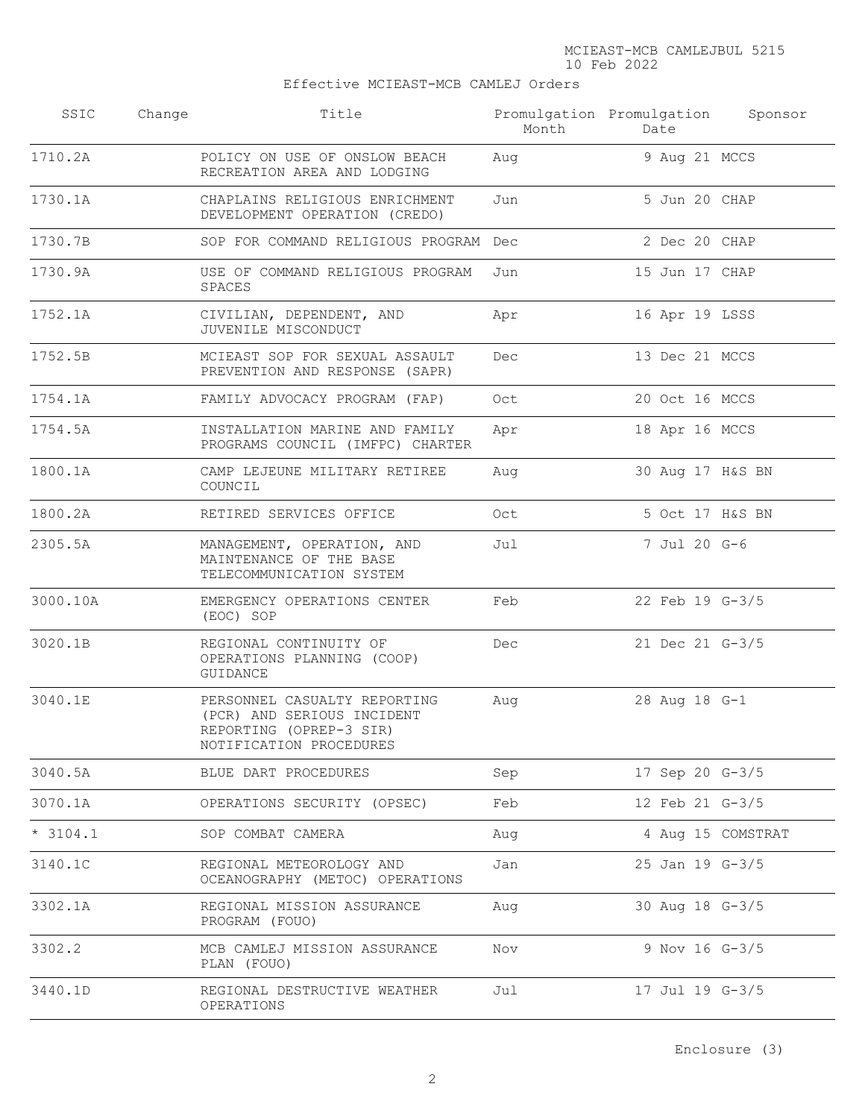## Effective MCIEAST-MCB CAMLEJ Orders

| SSIC       | Change | Title                                                                                                            | Month | Promulgation Promulgation<br>Date | Sponsor           |
|------------|--------|------------------------------------------------------------------------------------------------------------------|-------|-----------------------------------|-------------------|
| 1710.2A    |        | POLICY ON USE OF ONSLOW BEACH<br>RECREATION AREA AND LODGING                                                     | Aug   | 9 Aug 21 MCCS                     |                   |
| 1730.1A    |        | CHAPLAINS RELIGIOUS ENRICHMENT<br>DEVELOPMENT OPERATION (CREDO)                                                  | Jun   | 5 Jun 20 CHAP                     |                   |
| 1730.7B    |        | SOP FOR COMMAND RELIGIOUS PROGRAM Dec                                                                            |       | 2 Dec 20 CHAP                     |                   |
| 1730.9A    |        | USE OF COMMAND RELIGIOUS PROGRAM<br>SPACES                                                                       | Jun   | 15 Jun 17 CHAP                    |                   |
| 1752.1A    |        | CIVILIAN, DEPENDENT, AND<br>JUVENILE MISCONDUCT                                                                  | Apr   | 16 Apr 19 LSSS                    |                   |
| 1752.5B    |        | MCIEAST SOP FOR SEXUAL ASSAULT<br>PREVENTION AND RESPONSE (SAPR)                                                 | Dec   | 13 Dec 21 MCCS                    |                   |
| 1754.1A    |        | FAMILY ADVOCACY PROGRAM (FAP)                                                                                    | Oct   | 20 Oct 16 MCCS                    |                   |
| 1754.5A    |        | INSTALLATION MARINE AND FAMILY<br>PROGRAMS COUNCIL (IMFPC) CHARTER                                               | Apr   | 18 Apr 16 MCCS                    |                   |
| 1800.1A    |        | CAMP LEJEUNE MILITARY RETIREE<br>COUNCIL                                                                         | Aug   | 30 Aug 17 H&S BN                  |                   |
| 1800.2A    |        | RETIRED SERVICES OFFICE                                                                                          | Oct   | 5 Oct 17 H&S BN                   |                   |
| 2305.5A    |        | MANAGEMENT, OPERATION, AND<br>MAINTENANCE OF THE BASE<br>TELECOMMUNICATION SYSTEM                                | Jul   | 7 Jul 20 G-6                      |                   |
| 3000.10A   |        | EMERGENCY OPERATIONS CENTER<br>(EOC) SOP                                                                         | Feb   | 22 Feb 19 G-3/5                   |                   |
| 3020.1B    |        | REGIONAL CONTINUITY OF<br>OPERATIONS PLANNING (COOP)<br>GUIDANCE                                                 | Dec   | 21 Dec 21 G-3/5                   |                   |
| 3040.1E    |        | PERSONNEL CASUALTY REPORTING<br>(PCR) AND SERIOUS INCIDENT<br>REPORTING (OPREP-3 SIR)<br>NOTIFICATION PROCEDURES | Aug   | 28 Aug 18 G-1                     |                   |
| 3040.5A    |        | BLUE DART PROCEDURES                                                                                             | Sep   | 17 Sep 20 G-3/5                   |                   |
| 3070.1A    |        | OPERATIONS SECURITY (OPSEC)                                                                                      | Feb   | 12 Feb 21 G-3/5                   |                   |
| $* 3104.1$ |        | SOP COMBAT CAMERA                                                                                                | Aug   |                                   | 4 Aug 15 COMSTRAT |
| 3140.1C    |        | REGIONAL METEOROLOGY AND<br>OCEANOGRAPHY (METOC) OPERATIONS                                                      | Jan   | 25 Jan 19 G-3/5                   |                   |
| 3302.1A    |        | REGIONAL MISSION ASSURANCE<br>PROGRAM (FOUO)                                                                     | Aug   | 30 Aug 18 G-3/5                   |                   |
| 3302.2     |        | MCB CAMLEJ MISSION ASSURANCE<br>PLAN (FOUO)                                                                      | Nov   | 9 Nov 16 G-3/5                    |                   |
| 3440.1D    |        | REGIONAL DESTRUCTIVE WEATHER<br>OPERATIONS                                                                       | Jul   | 17 Jul 19 G-3/5                   |                   |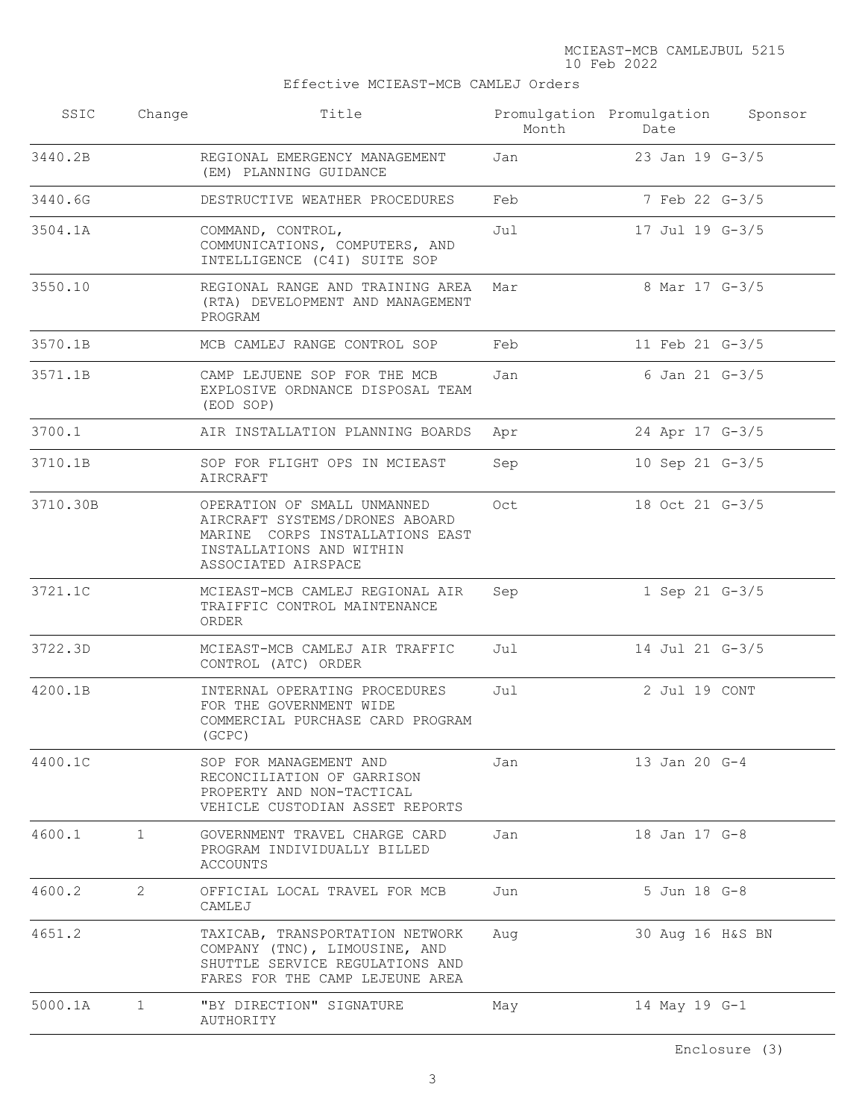## Effective MCIEAST-MCB CAMLEJ Orders

| SSIC     | Change       | Title                                                                                                                                               | Month | Promulgation Promulgation<br>Date | Sponsor |
|----------|--------------|-----------------------------------------------------------------------------------------------------------------------------------------------------|-------|-----------------------------------|---------|
| 3440.2B  |              | REGIONAL EMERGENCY MANAGEMENT<br>(EM) PLANNING GUIDANCE                                                                                             | Jan   | 23 Jan 19 G-3/5                   |         |
| 3440.6G  |              | DESTRUCTIVE WEATHER PROCEDURES                                                                                                                      | Feb   | 7 Feb 22 G-3/5                    |         |
| 3504.1A  |              | COMMAND, CONTROL,<br>COMMUNICATIONS, COMPUTERS, AND<br>INTELLIGENCE (C4I) SUITE SOP                                                                 | Jul   | 17 Jul 19 G-3/5                   |         |
| 3550.10  |              | REGIONAL RANGE AND TRAINING AREA<br>(RTA) DEVELOPMENT AND MANAGEMENT<br>PROGRAM                                                                     | Mar   | 8 Mar 17 G-3/5                    |         |
| 3570.1B  |              | MCB CAMLEJ RANGE CONTROL SOP                                                                                                                        | Feb   | 11 Feb 21 G-3/5                   |         |
| 3571.1B  |              | CAMP LEJUENE SOP FOR THE MCB<br>EXPLOSIVE ORDNANCE DISPOSAL TEAM<br>(EOD SOP)                                                                       | Jan   | 6 Jan 21 G-3/5                    |         |
| 3700.1   |              | AIR INSTALLATION PLANNING BOARDS                                                                                                                    | Apr   | 24 Apr 17 G-3/5                   |         |
| 3710.1B  |              | SOP FOR FLIGHT OPS IN MCIEAST<br>AIRCRAFT                                                                                                           | Sep   | 10 Sep 21 $G-3/5$                 |         |
| 3710.30B |              | OPERATION OF SMALL UNMANNED<br>AIRCRAFT SYSTEMS/DRONES ABOARD<br>MARINE CORPS INSTALLATIONS EAST<br>INSTALLATIONS AND WITHIN<br>ASSOCIATED AIRSPACE | Oct   | 18 Oct 21 G-3/5                   |         |
| 3721.1C  |              | MCIEAST-MCB CAMLEJ REGIONAL AIR<br>TRAIFFIC CONTROL MAINTENANCE<br>ORDER                                                                            | Sep   | 1 Sep 21 G-3/5                    |         |
| 3722.3D  |              | MCIEAST-MCB CAMLEJ AIR TRAFFIC<br>CONTROL (ATC) ORDER                                                                                               | Jul   | 14 Jul 21 G-3/5                   |         |
| 4200.1B  |              | INTERNAL OPERATING PROCEDURES<br>FOR THE GOVERNMENT WIDE<br>COMMERCIAL PURCHASE CARD PROGRAM<br>(GCPC)                                              | Jul   | 2 Jul 19 CONT                     |         |
| 4400.1C  |              | SOP FOR MANAGEMENT AND<br>RECONCILIATION OF GARRISON<br>PROPERTY AND NON-TACTICAL<br>VEHICLE CUSTODIAN ASSET REPORTS                                | Jan   | 13 Jan 20 G-4                     |         |
| 4600.1   | $\mathbf{1}$ | GOVERNMENT TRAVEL CHARGE CARD<br>PROGRAM INDIVIDUALLY BILLED<br>ACCOUNTS                                                                            | Jan   | 18 Jan 17 G-8                     |         |
| 4600.2   | 2            | OFFICIAL LOCAL TRAVEL FOR MCB<br>CAMLEJ                                                                                                             | Jun   | 5 Jun 18 G-8                      |         |
| 4651.2   |              | TAXICAB, TRANSPORTATION NETWORK<br>COMPANY (TNC), LIMOUSINE, AND<br>SHUTTLE SERVICE REGULATIONS AND<br>FARES FOR THE CAMP LEJEUNE AREA              | Aug   | 30 Aug 16 H&S BN                  |         |
| 5000.1A  | $\mathbf{1}$ | "BY DIRECTION" SIGNATURE<br>AUTHORITY                                                                                                               | May   | 14 May 19 G-1                     |         |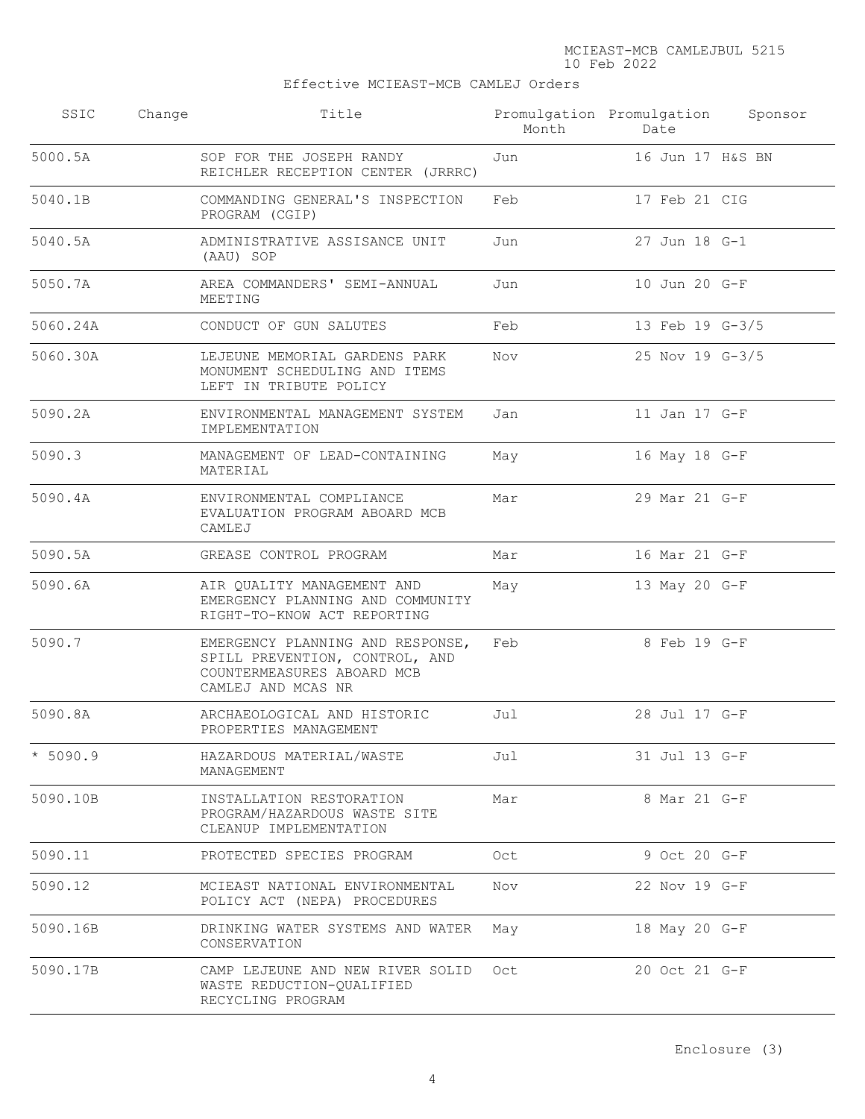## Effective MCIEAST-MCB CAMLEJ Orders

| SSIC       | Change | Title                                                                                                                  | Month | Promulgation Promulgation<br>Date | Sponsor |
|------------|--------|------------------------------------------------------------------------------------------------------------------------|-------|-----------------------------------|---------|
| 5000.5A    |        | SOP FOR THE JOSEPH RANDY<br>REICHLER RECEPTION CENTER (JRRRC)                                                          | Jun   | 16 Jun 17 H&S BN                  |         |
| 5040.1B    |        | COMMANDING GENERAL'S INSPECTION<br>PROGRAM (CGIP)                                                                      | Feb   | 17 Feb 21 CIG                     |         |
| 5040.5A    |        | ADMINISTRATIVE ASSISANCE UNIT<br>(AAU) SOP                                                                             | Jun   | 27 Jun 18 G-1                     |         |
| 5050.7A    |        | AREA COMMANDERS' SEMI-ANNUAL<br>MEETING                                                                                | Jun   | 10 Jun 20 G-F                     |         |
| 5060.24A   |        | CONDUCT OF GUN SALUTES                                                                                                 | Feb   | 13 Feb 19 G-3/5                   |         |
| 5060.30A   |        | LEJEUNE MEMORIAL GARDENS PARK<br>MONUMENT SCHEDULING AND ITEMS<br>LEFT IN TRIBUTE POLICY                               | Nov   | 25 Nov 19 G-3/5                   |         |
| 5090.2A    |        | ENVIRONMENTAL MANAGEMENT SYSTEM<br>IMPLEMENTATION                                                                      | Jan   | 11 Jan 17 G-F                     |         |
| 5090.3     |        | MANAGEMENT OF LEAD-CONTAINING<br>MATERIAL                                                                              | May   | 16 May 18 G-F                     |         |
| 5090.4A    |        | ENVIRONMENTAL COMPLIANCE<br>EVALUATION PROGRAM ABOARD MCB<br>CAMLEJ                                                    | Mar   | 29 Mar 21 G-F                     |         |
| 5090.5A    |        | GREASE CONTROL PROGRAM                                                                                                 | Mar   | 16 Mar 21 G-F                     |         |
| 5090.6A    |        | AIR QUALITY MANAGEMENT AND<br>EMERGENCY PLANNING AND COMMUNITY<br>RIGHT-TO-KNOW ACT REPORTING                          | May   | 13 May 20 G-F                     |         |
| 5090.7     |        | EMERGENCY PLANNING AND RESPONSE,<br>SPILL PREVENTION, CONTROL, AND<br>COUNTERMEASURES ABOARD MCB<br>CAMLEJ AND MCAS NR | Feb   | 8 Feb 19 G-F                      |         |
| 5090.8A    |        | ARCHAEOLOGICAL AND HISTORIC<br>PROPERTIES MANAGEMENT                                                                   | Jul   | 28 Jul 17 G-F                     |         |
| $* 5090.9$ |        | HAZARDOUS MATERIAL/WASTE<br>MANAGEMENT                                                                                 | Jul   | 31 Jul 13 G-F                     |         |
| 5090.10B   |        | INSTALLATION RESTORATION<br>PROGRAM/HAZARDOUS WASTE SITE<br>CLEANUP IMPLEMENTATION                                     | Mar   | 8 Mar 21 G-F                      |         |
| 5090.11    |        | PROTECTED SPECIES PROGRAM                                                                                              | Oct   | 9 Oct 20 G-F                      |         |
| 5090.12    |        | MCIEAST NATIONAL ENVIRONMENTAL<br>POLICY ACT (NEPA) PROCEDURES                                                         | Nov   | 22 Nov 19 G-F                     |         |
| 5090.16B   |        | DRINKING WATER SYSTEMS AND WATER<br>CONSERVATION                                                                       | May   | 18 May 20 G-F                     |         |
| 5090.17B   |        | CAMP LEJEUNE AND NEW RIVER SOLID<br>WASTE REDUCTION-QUALIFIED<br>RECYCLING PROGRAM                                     | Oct   | 20 Oct 21 G-F                     |         |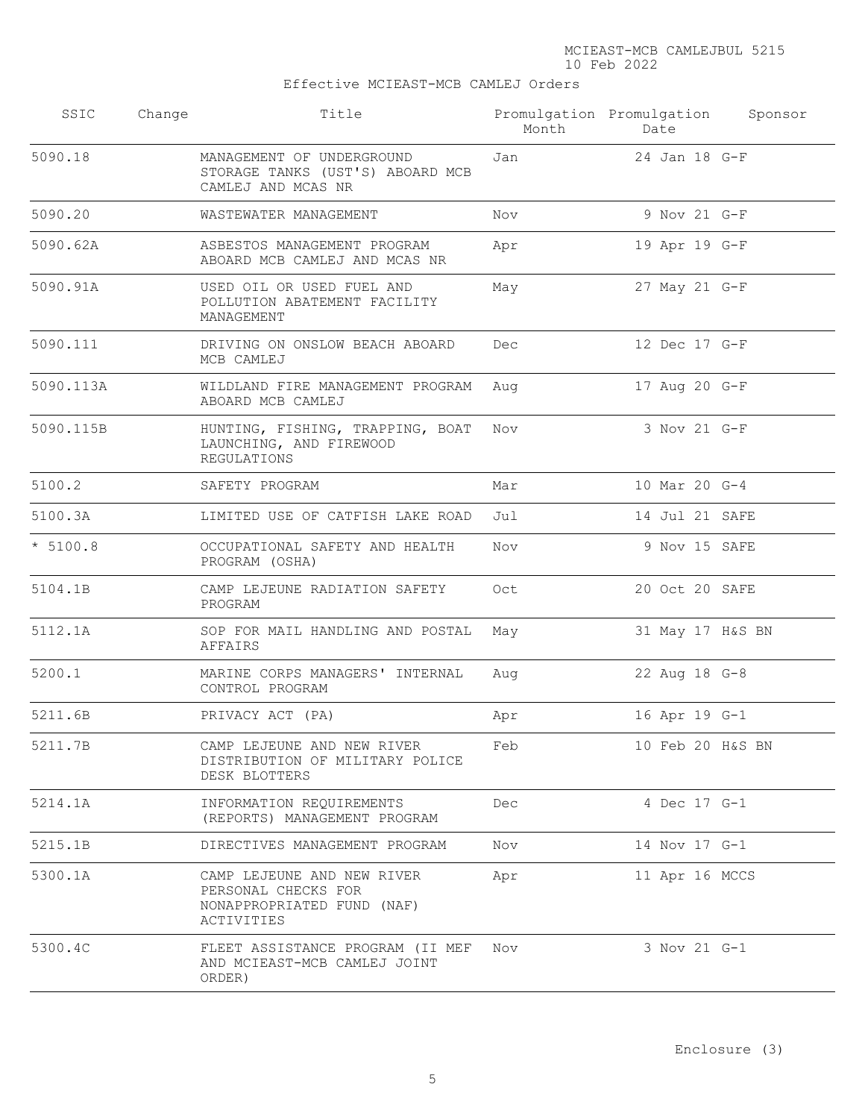Effective MCIEAST-MCB CAMLEJ Orders

| SSIC       | Change | Title                                                                                         | Month | Promulgation Promulgation<br>Date | Sponsor |
|------------|--------|-----------------------------------------------------------------------------------------------|-------|-----------------------------------|---------|
| 5090.18    |        | MANAGEMENT OF UNDERGROUND<br>STORAGE TANKS (UST'S) ABOARD MCB<br>CAMLEJ AND MCAS NR           | Jan   | 24 Jan 18 G-F                     |         |
| 5090.20    |        | WASTEWATER MANAGEMENT                                                                         | Nov   | 9 Nov 21 G-F                      |         |
| 5090.62A   |        | ASBESTOS MANAGEMENT PROGRAM<br>ABOARD MCB CAMLEJ AND MCAS NR                                  | Apr   | 19 Apr 19 G-F                     |         |
| 5090.91A   |        | USED OIL OR USED FUEL AND<br>POLLUTION ABATEMENT FACILITY<br>MANAGEMENT                       | May   | 27 May 21 G-F                     |         |
| 5090.111   |        | DRIVING ON ONSLOW BEACH ABOARD<br>MCB CAMLEJ                                                  | Dec   | 12 Dec 17 G-F                     |         |
| 5090.113A  |        | WILDLAND FIRE MANAGEMENT PROGRAM<br>ABOARD MCB CAMLEJ                                         | Aug   | 17 Aug 20 G-F                     |         |
| 5090.115B  |        | HUNTING, FISHING, TRAPPING, BOAT<br>LAUNCHING, AND FIREWOOD<br><b>REGULATIONS</b>             | Nov   | 3 Nov 21 G-F                      |         |
| 5100.2     |        | SAFETY PROGRAM                                                                                | Mar   | 10 Mar 20 G-4                     |         |
| 5100.3A    |        | LIMITED USE OF CATFISH LAKE ROAD                                                              | Jul   | 14 Jul 21 SAFE                    |         |
| $* 5100.8$ |        | OCCUPATIONAL SAFETY AND HEALTH<br>PROGRAM (OSHA)                                              | Nov   | 9 Nov 15 SAFE                     |         |
| 5104.1B    |        | CAMP LEJEUNE RADIATION SAFETY<br>PROGRAM                                                      | Oct   | 20 Oct 20 SAFE                    |         |
| 5112.1A    |        | SOP FOR MAIL HANDLING AND POSTAL<br>AFFAIRS                                                   | May   | 31 May 17 H&S BN                  |         |
| 5200.1     |        | MARINE CORPS MANAGERS' INTERNAL<br>CONTROL PROGRAM                                            | Aug   | 22 Aug 18 G-8                     |         |
| 5211.6B    |        | PRIVACY ACT (PA)                                                                              | Apr   | 16 Apr 19 G-1                     |         |
| 5211.7B    |        | CAMP LEJEUNE AND NEW RIVER<br>DISTRIBUTION OF MILITARY POLICE<br>DESK BLOTTERS                | Feb   | 10 Feb 20 H&S BN                  |         |
| 5214.1A    |        | INFORMATION REQUIREMENTS<br>(REPORTS) MANAGEMENT PROGRAM                                      | Dec   | 4 Dec 17 G-1                      |         |
| 5215.1B    |        | DIRECTIVES MANAGEMENT PROGRAM                                                                 | Nov   | 14 Nov 17 G-1                     |         |
| 5300.1A    |        | CAMP LEJEUNE AND NEW RIVER<br>PERSONAL CHECKS FOR<br>NONAPPROPRIATED FUND (NAF)<br>ACTIVITIES | Apr   | 11 Apr 16 MCCS                    |         |
| 5300.4C    |        | FLEET ASSISTANCE PROGRAM (II MEF<br>AND MCIEAST-MCB CAMLEJ JOINT<br>ORDER)                    | Nov   | 3 Nov 21 G-1                      |         |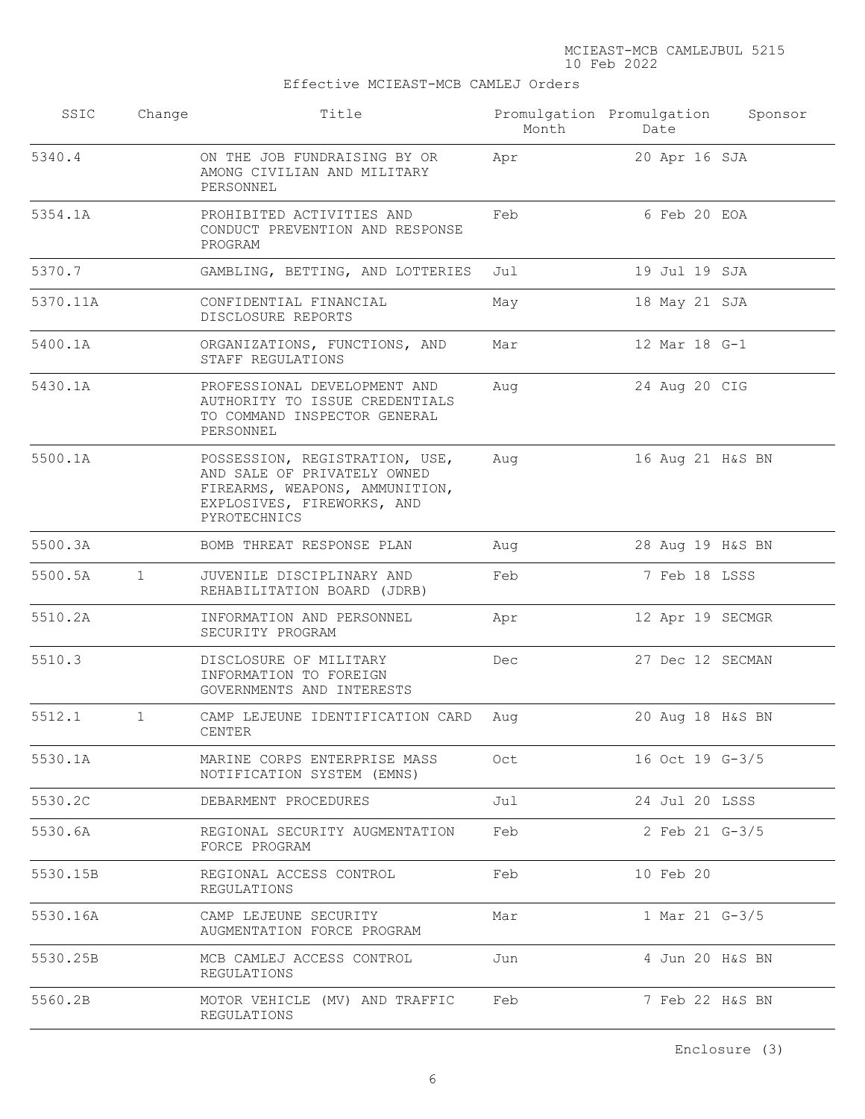Effective MCIEAST-MCB CAMLEJ Orders

| SSIC     | Change       | Title                                                                                                                                         | Month | Promulgation Promulgation<br>Date | Sponsor |
|----------|--------------|-----------------------------------------------------------------------------------------------------------------------------------------------|-------|-----------------------------------|---------|
| 5340.4   |              | ON THE JOB FUNDRAISING BY OR<br>AMONG CIVILIAN AND MILITARY<br>PERSONNEL                                                                      | Apr   | 20 Apr 16 SJA                     |         |
| 5354.1A  |              | PROHIBITED ACTIVITIES AND<br>CONDUCT PREVENTION AND RESPONSE<br>PROGRAM                                                                       | Feb   | 6 Feb 20 EOA                      |         |
| 5370.7   |              | GAMBLING, BETTING, AND LOTTERIES                                                                                                              | Jul   | 19 Jul 19 SJA                     |         |
| 5370.11A |              | CONFIDENTIAL FINANCIAL<br>DISCLOSURE REPORTS                                                                                                  | May   | 18 May 21 SJA                     |         |
| 5400.1A  |              | ORGANIZATIONS, FUNCTIONS, AND<br>STAFF REGULATIONS                                                                                            | Mar   | 12 Mar 18 G-1                     |         |
| 5430.1A  |              | PROFESSIONAL DEVELOPMENT AND<br>AUTHORITY TO ISSUE CREDENTIALS<br>TO COMMAND INSPECTOR GENERAL<br>PERSONNEL                                   | Aug   | 24 Aug 20 CIG                     |         |
| 5500.1A  |              | POSSESSION, REGISTRATION, USE,<br>AND SALE OF PRIVATELY OWNED<br>FIREARMS, WEAPONS, AMMUNITION,<br>EXPLOSIVES, FIREWORKS, AND<br>PYROTECHNICS | Aug   | 16 Aug 21 H&S BN                  |         |
| 5500.3A  |              | BOMB THREAT RESPONSE PLAN                                                                                                                     | Aug   | 28 Aug 19 H&S BN                  |         |
| 5500.5A  | $\mathbf{1}$ | JUVENILE DISCIPLINARY AND<br>REHABILITATION BOARD (JDRB)                                                                                      | Feb   | 7 Feb 18 LSSS                     |         |
| 5510.2A  |              | INFORMATION AND PERSONNEL<br>SECURITY PROGRAM                                                                                                 | Apr   | 12 Apr 19 SECMGR                  |         |
| 5510.3   |              | DISCLOSURE OF MILITARY<br>INFORMATION TO FOREIGN<br>GOVERNMENTS AND INTERESTS                                                                 | Dec   | 27 Dec 12 SECMAN                  |         |
| 5512.1   | $\mathbf{1}$ | CAMP LEJEUNE IDENTIFICATION CARD<br>CENTER                                                                                                    | Aug   | 20 Aug 18 H&S BN                  |         |
| 5530.1A  |              | MARINE CORPS ENTERPRISE MASS<br>NOTIFICATION SYSTEM (EMNS)                                                                                    | Oct   | 16 Oct 19 G-3/5                   |         |
| 5530.2C  |              | DEBARMENT PROCEDURES                                                                                                                          | Jul   | 24 Jul 20 LSSS                    |         |
| 5530.6A  |              | REGIONAL SECURITY AUGMENTATION<br>FORCE PROGRAM                                                                                               | Feb   | 2 Feb 21 G-3/5                    |         |
| 5530.15B |              | REGIONAL ACCESS CONTROL<br>REGULATIONS                                                                                                        | Feb   | 10 Feb 20                         |         |
| 5530.16A |              | CAMP LEJEUNE SECURITY<br>AUGMENTATION FORCE PROGRAM                                                                                           | Mar   | 1 Mar 21 G-3/5                    |         |
| 5530.25B |              | MCB CAMLEJ ACCESS CONTROL<br>REGULATIONS                                                                                                      | Jun   | 4 Jun 20 H&S BN                   |         |
| 5560.2B  |              | MOTOR VEHICLE (MV) AND TRAFFIC<br>REGULATIONS                                                                                                 | Feb   | 7 Feb 22 H&S BN                   |         |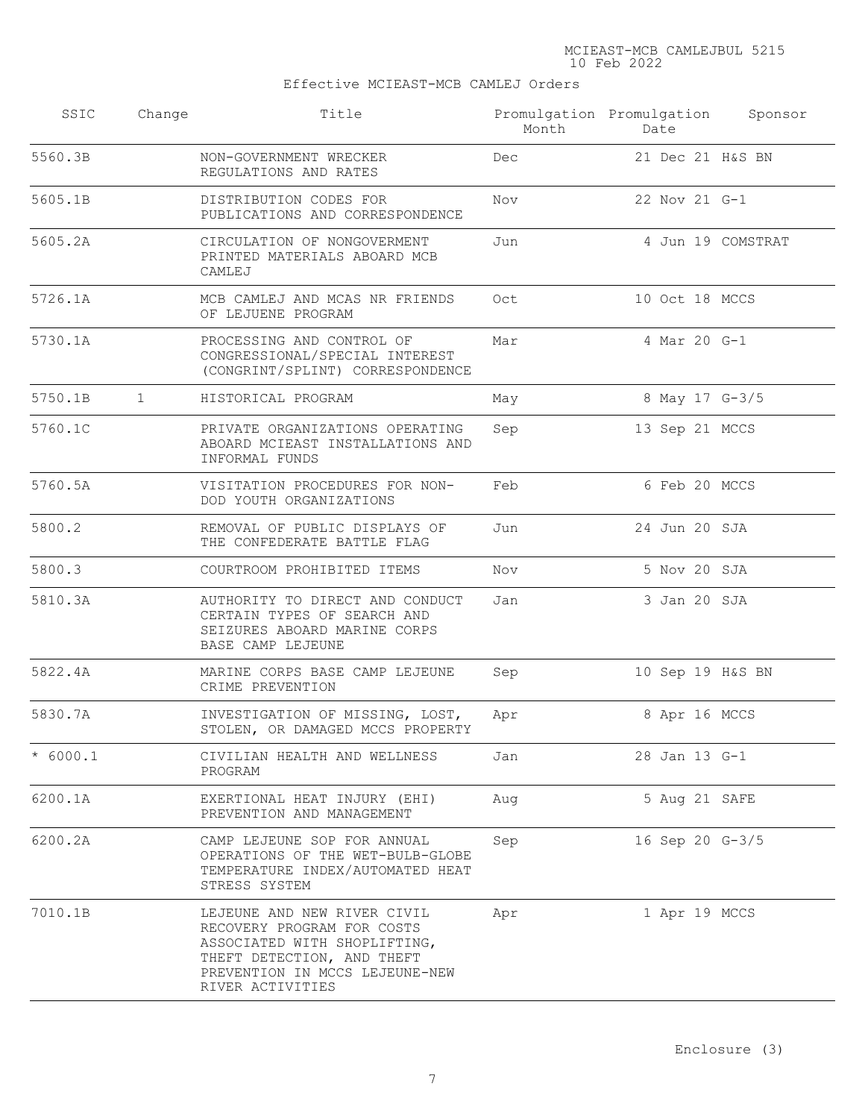# Effective MCIEAST-MCB CAMLEJ Orders

| SSIC       | Change       | Title                                                                                                                                                                         | Month | Promulgation Promulgation Sponsor<br>Date |                   |
|------------|--------------|-------------------------------------------------------------------------------------------------------------------------------------------------------------------------------|-------|-------------------------------------------|-------------------|
| 5560.3B    |              | NON-GOVERNMENT WRECKER<br>REGULATIONS AND RATES                                                                                                                               | Dec   | 21 Dec 21 H&S BN                          |                   |
| 5605.1B    |              | DISTRIBUTION CODES FOR<br>PUBLICATIONS AND CORRESPONDENCE                                                                                                                     | Nov   | 22 Nov 21 G-1                             |                   |
| 5605.2A    |              | CIRCULATION OF NONGOVERMENT<br>PRINTED MATERIALS ABOARD MCB<br>CAMLEJ                                                                                                         | Jun   |                                           | 4 Jun 19 COMSTRAT |
| 5726.1A    |              | MCB CAMLEJ AND MCAS NR FRIENDS<br>OF LEJUENE PROGRAM                                                                                                                          | Oct   | 10 Oct 18 MCCS                            |                   |
| 5730.1A    |              | PROCESSING AND CONTROL OF<br>CONGRESSIONAL/SPECIAL INTEREST<br>(CONGRINT/SPLINT) CORRESPONDENCE                                                                               | Mar   | 4 Mar 20 G-1                              |                   |
| 5750.1B    | $\mathbf{1}$ | HISTORICAL PROGRAM                                                                                                                                                            | May   | 8 May 17 G-3/5                            |                   |
| 5760.1C    |              | PRIVATE ORGANIZATIONS OPERATING<br>ABOARD MCIEAST INSTALLATIONS AND<br>INFORMAL FUNDS                                                                                         | Sep   | 13 Sep 21 MCCS                            |                   |
| 5760.5A    |              | VISITATION PROCEDURES FOR NON-<br>DOD YOUTH ORGANIZATIONS                                                                                                                     | Feb   | 6 Feb 20 MCCS                             |                   |
| 5800.2     |              | REMOVAL OF PUBLIC DISPLAYS OF<br>THE CONFEDERATE BATTLE FLAG                                                                                                                  | Jun   | 24 Jun 20 SJA                             |                   |
| 5800.3     |              | COURTROOM PROHIBITED ITEMS                                                                                                                                                    | Nov   | 5 Nov 20 SJA                              |                   |
| 5810.3A    |              | AUTHORITY TO DIRECT AND CONDUCT<br>CERTAIN TYPES OF SEARCH AND<br>SEIZURES ABOARD MARINE CORPS<br>BASE CAMP LEJEUNE                                                           | Jan   | 3 Jan 20 SJA                              |                   |
| 5822.4A    |              | MARINE CORPS BASE CAMP LEJEUNE<br>CRIME PREVENTION                                                                                                                            | Sep   | 10 Sep 19 H&S BN                          |                   |
| 5830.7A    |              | INVESTIGATION OF MISSING, LOST,<br>STOLEN, OR DAMAGED MCCS PROPERTY                                                                                                           | Apr   | 8 Apr 16 MCCS                             |                   |
| $* 6000.1$ |              | CIVILIAN HEALTH AND WELLNESS<br>PROGRAM                                                                                                                                       | Jan   | 28 Jan 13 G-1                             |                   |
| 6200.1A    |              | EXERTIONAL HEAT INJURY (EHI)<br>PREVENTION AND MANAGEMENT                                                                                                                     | Aug   | 5 Aug 21 SAFE                             |                   |
| 6200.2A    |              | CAMP LEJEUNE SOP FOR ANNUAL<br>OPERATIONS OF THE WET-BULB-GLOBE<br>TEMPERATURE INDEX/AUTOMATED HEAT<br>STRESS SYSTEM                                                          | Sep   | 16 Sep 20 G-3/5                           |                   |
| 7010.1B    |              | LEJEUNE AND NEW RIVER CIVIL<br>RECOVERY PROGRAM FOR COSTS<br>ASSOCIATED WITH SHOPLIFTING,<br>THEFT DETECTION, AND THEFT<br>PREVENTION IN MCCS LEJEUNE-NEW<br>RIVER ACTIVITIES | Apr   | 1 Apr 19 MCCS                             |                   |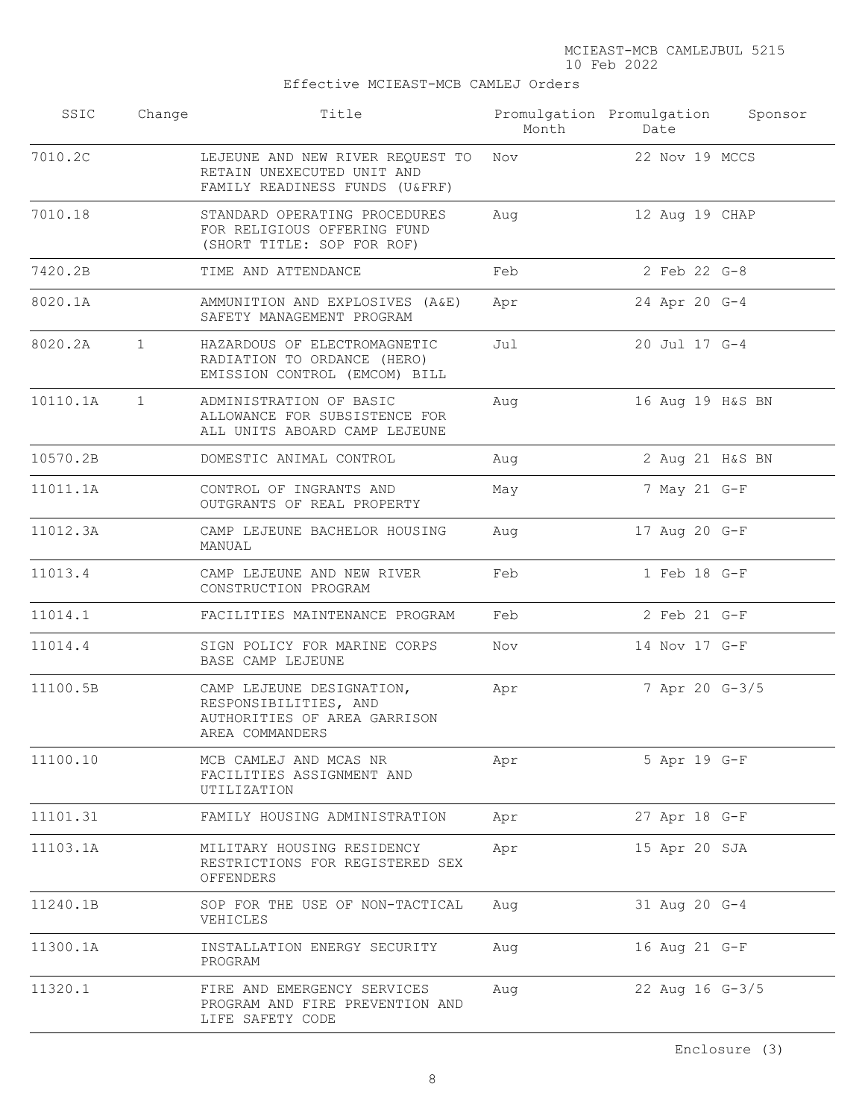Effective MCIEAST-MCB CAMLEJ Orders

| SSIC     | Change       | Title                                                                                                 | Month | Promulgation Promulgation<br>Date | Sponsor |
|----------|--------------|-------------------------------------------------------------------------------------------------------|-------|-----------------------------------|---------|
| 7010.2C  |              | LEJEUNE AND NEW RIVER REQUEST TO<br>RETAIN UNEXECUTED UNIT AND<br>FAMILY READINESS FUNDS (U&FRF)      | Nov   | 22 Nov 19 MCCS                    |         |
| 7010.18  |              | STANDARD OPERATING PROCEDURES<br>FOR RELIGIOUS OFFERING FUND<br>(SHORT TITLE: SOP FOR ROF)            | Aug   | 12 Aug 19 CHAP                    |         |
| 7420.2B  |              | TIME AND ATTENDANCE                                                                                   | Feb   | 2 Feb 22 G-8                      |         |
| 8020.1A  |              | AMMUNITION AND EXPLOSIVES (A&E)<br>SAFETY MANAGEMENT PROGRAM                                          | Apr   | 24 Apr 20 G-4                     |         |
| 8020.2A  | $\mathbf{1}$ | HAZARDOUS OF ELECTROMAGNETIC<br>RADIATION TO ORDANCE (HERO)<br>EMISSION CONTROL (EMCOM) BILL          | Jul   | 20 Jul 17 G-4                     |         |
| 10110.1A | $\mathbf{1}$ | ADMINISTRATION OF BASIC<br>ALLOWANCE FOR SUBSISTENCE FOR<br>ALL UNITS ABOARD CAMP LEJEUNE             | Aug   | 16 Aug 19 H&S BN                  |         |
| 10570.2B |              | DOMESTIC ANIMAL CONTROL                                                                               | Aug   | 2 Aug 21 H&S BN                   |         |
| 11011.1A |              | CONTROL OF INGRANTS AND<br>OUTGRANTS OF REAL PROPERTY                                                 | May   | 7 May 21 G-F                      |         |
| 11012.3A |              | CAMP LEJEUNE BACHELOR HOUSING<br>MANUAL                                                               | Aug   | 17 Aug 20 G-F                     |         |
| 11013.4  |              | CAMP LEJEUNE AND NEW RIVER<br>CONSTRUCTION PROGRAM                                                    | Feb   | 1 Feb 18 G-F                      |         |
| 11014.1  |              | FACILITIES MAINTENANCE PROGRAM                                                                        | Feb   | 2 Feb 21 G-F                      |         |
| 11014.4  |              | SIGN POLICY FOR MARINE CORPS<br>BASE CAMP LEJEUNE                                                     | Nov   | 14 Nov 17 G-F                     |         |
| 11100.5B |              | CAMP LEJEUNE DESIGNATION,<br>RESPONSIBILITIES, AND<br>AUTHORITIES OF AREA GARRISON<br>AREA COMMANDERS | Apr   | 7 Apr 20 G-3/5                    |         |
| 11100.10 |              | MCB CAMLEJ AND MCAS NR<br>FACILITIES ASSIGNMENT AND<br>UTILIZATION                                    | Apr   | 5 Apr 19 G-F                      |         |
| 11101.31 |              | FAMILY HOUSING ADMINISTRATION                                                                         | Apr   | 27 Apr 18 G-F                     |         |
| 11103.1A |              | MILITARY HOUSING RESIDENCY<br>RESTRICTIONS FOR REGISTERED SEX<br>OFFENDERS                            | Apr   | 15 Apr 20 SJA                     |         |
| 11240.1B |              | SOP FOR THE USE OF NON-TACTICAL<br>VEHICLES                                                           | Aug   | 31 Aug 20 G-4                     |         |
| 11300.1A |              | INSTALLATION ENERGY SECURITY<br>PROGRAM                                                               | Aug   | 16 Aug 21 G-F                     |         |
| 11320.1  |              | FIRE AND EMERGENCY SERVICES<br>PROGRAM AND FIRE PREVENTION AND<br>LIFE SAFETY CODE                    | Aug   | 22 Aug 16 G-3/5                   |         |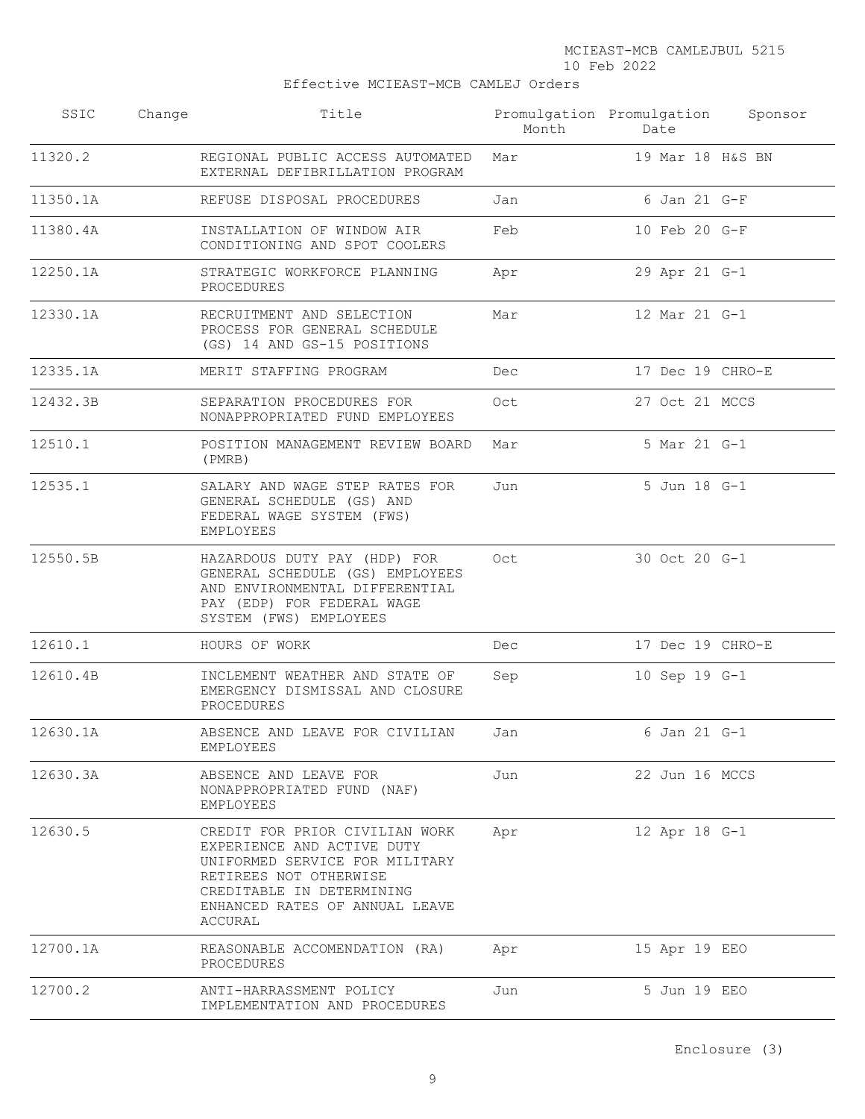Effective MCIEAST-MCB CAMLEJ Orders

| SSIC     | Change | Title                                                                                                                                                                                              | Month | Promulgation Promulgation<br>Date | Sponsor |
|----------|--------|----------------------------------------------------------------------------------------------------------------------------------------------------------------------------------------------------|-------|-----------------------------------|---------|
| 11320.2  |        | REGIONAL PUBLIC ACCESS AUTOMATED<br>EXTERNAL DEFIBRILLATION PROGRAM                                                                                                                                | Mar   | 19 Mar 18 H&S BN                  |         |
| 11350.1A |        | REFUSE DISPOSAL PROCEDURES                                                                                                                                                                         | Jan   | 6 Jan 21 G-F                      |         |
| 11380.4A |        | INSTALLATION OF WINDOW AIR<br>CONDITIONING AND SPOT COOLERS                                                                                                                                        | Feb   | 10 Feb 20 G-F                     |         |
| 12250.1A |        | STRATEGIC WORKFORCE PLANNING<br>PROCEDURES                                                                                                                                                         | Apr   | 29 Apr 21 G-1                     |         |
| 12330.1A |        | RECRUITMENT AND SELECTION<br>PROCESS FOR GENERAL SCHEDULE<br>(GS) 14 AND GS-15 POSITIONS                                                                                                           | Mar   | 12 Mar 21 G-1                     |         |
| 12335.1A |        | MERIT STAFFING PROGRAM                                                                                                                                                                             | Dec   | 17 Dec 19 CHRO-E                  |         |
| 12432.3B |        | SEPARATION PROCEDURES FOR<br>NONAPPROPRIATED FUND EMPLOYEES                                                                                                                                        | Oct   | 27 Oct 21 MCCS                    |         |
| 12510.1  |        | POSITION MANAGEMENT REVIEW BOARD<br>(PMRB)                                                                                                                                                         | Mar   | 5 Mar 21 G-1                      |         |
| 12535.1  |        | SALARY AND WAGE STEP RATES FOR<br>GENERAL SCHEDULE (GS) AND<br>FEDERAL WAGE SYSTEM (FWS)<br>EMPLOYEES                                                                                              | Jun   | 5 Jun 18 G-1                      |         |
| 12550.5B |        | HAZARDOUS DUTY PAY (HDP) FOR<br>GENERAL SCHEDULE (GS) EMPLOYEES<br>AND ENVIRONMENTAL DIFFERENTIAL<br>PAY (EDP) FOR FEDERAL WAGE<br>SYSTEM (FWS) EMPLOYEES                                          | Oct   | 30 Oct 20 G-1                     |         |
| 12610.1  |        | HOURS OF WORK                                                                                                                                                                                      | Dec   | 17 Dec 19 CHRO-E                  |         |
| 12610.4B |        | INCLEMENT WEATHER AND STATE OF<br>EMERGENCY DISMISSAL AND CLOSURE<br>PROCEDURES                                                                                                                    | Sep   | 10 Sep 19 G-1                     |         |
| 12630.1A |        | ABSENCE AND LEAVE FOR CIVILIAN<br>EMPLOYEES                                                                                                                                                        | Jan   | 6 Jan 21 G-1                      |         |
| 12630.3A |        | ABSENCE AND LEAVE FOR<br>NONAPPROPRIATED FUND (NAF)<br>EMPLOYEES                                                                                                                                   | Jun   | 22 Jun 16 MCCS                    |         |
| 12630.5  |        | CREDIT FOR PRIOR CIVILIAN WORK<br>EXPERIENCE AND ACTIVE DUTY<br>UNIFORMED SERVICE FOR MILITARY<br>RETIREES NOT OTHERWISE<br>CREDITABLE IN DETERMINING<br>ENHANCED RATES OF ANNUAL LEAVE<br>ACCURAL | Apr   | 12 Apr 18 G-1                     |         |
| 12700.1A |        | REASONABLE ACCOMENDATION (RA)<br>PROCEDURES                                                                                                                                                        | Apr   | 15 Apr 19 EEO                     |         |
| 12700.2  |        | ANTI-HARRASSMENT POLICY<br>IMPLEMENTATION AND PROCEDURES                                                                                                                                           | Jun   | 5 Jun 19 EEO                      |         |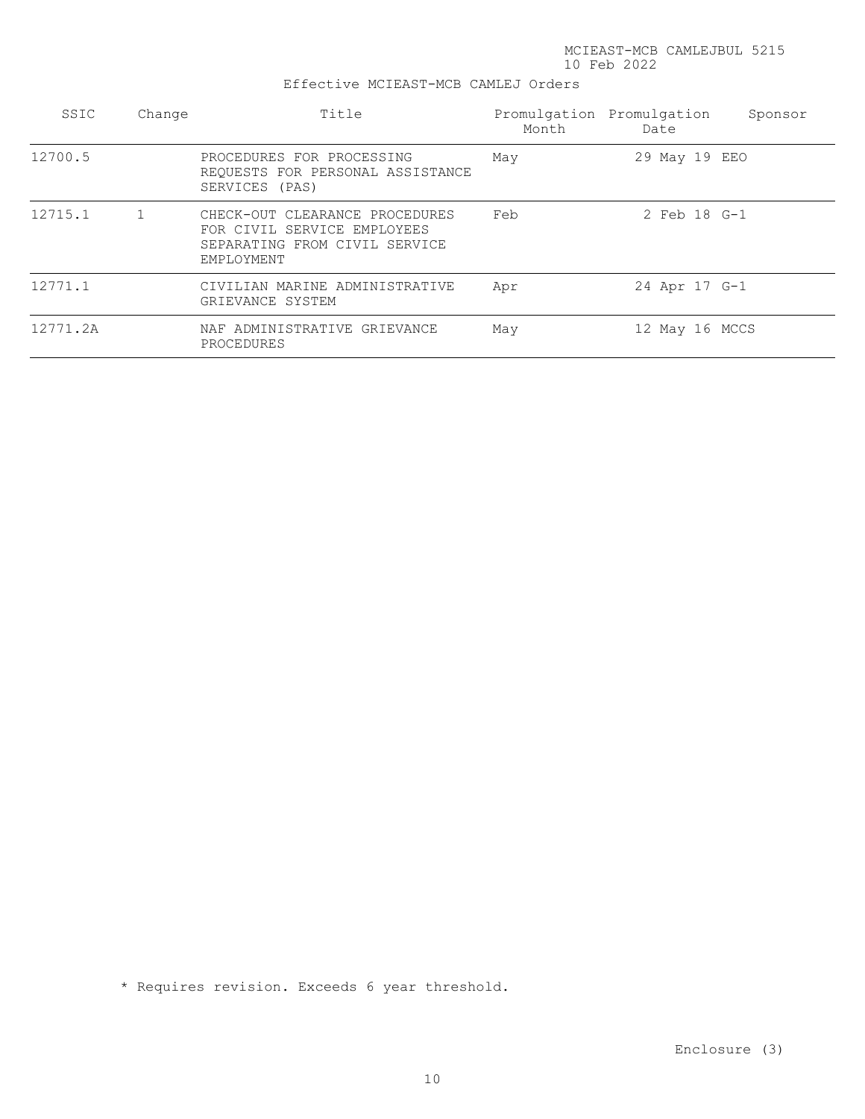#### Effective MCIEAST-MCB CAMLEJ Orders

| SSIC     | Change | Title                                                                                                        | Month | Promulgation Promulgation<br>Date | Sponsor |
|----------|--------|--------------------------------------------------------------------------------------------------------------|-------|-----------------------------------|---------|
| 12700.5  |        | PROCEDURES FOR PROCESSING<br>REQUESTS FOR PERSONAL ASSISTANCE<br>SERVICES (PAS)                              | May   | 29 May 19 EEO                     |         |
| 12715.1  | 1      | CHECK-OUT CLEARANCE PROCEDURES<br>FOR CIVIL SERVICE EMPLOYEES<br>SEPARATING FROM CIVIL SERVICE<br>EMPLOYMENT | Feb   | 2 Feb 18 G-1                      |         |
| 12771.1  |        | CIVILIAN MARINE ADMINISTRATIVE<br>GRIEVANCE SYSTEM                                                           | Apr   | 24 Apr 17 G-1                     |         |
| 12771.2A |        | NAF ADMINISTRATIVE GRIEVANCE<br>PROCEDURES                                                                   | May   | 12 May 16 MCCS                    |         |

\* Requires revision. Exceeds 6 year threshold.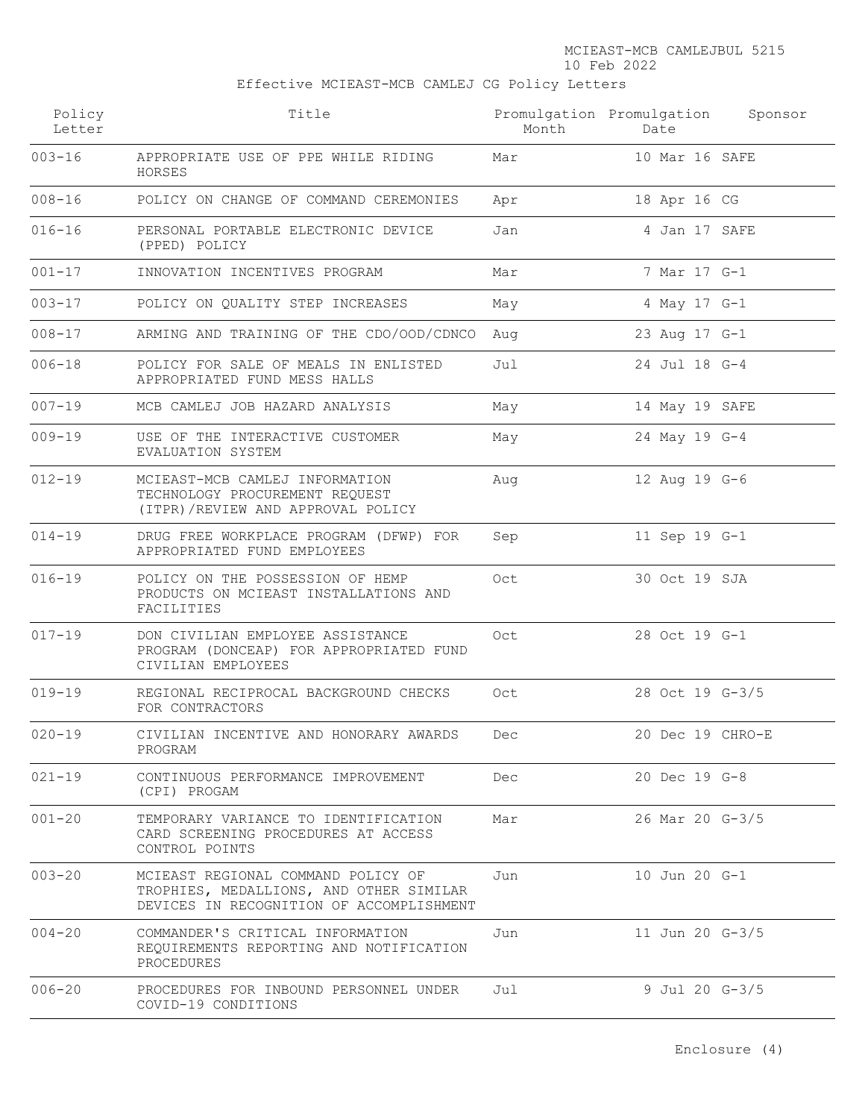Effective MCIEAST-MCB CAMLEJ CG Policy Letters

| Policy<br>Letter | Title                                                                                                                     | Month | Promulgation Promulgation<br>Date | Sponsor |
|------------------|---------------------------------------------------------------------------------------------------------------------------|-------|-----------------------------------|---------|
| $003 - 16$       | APPROPRIATE USE OF PPE WHILE RIDING<br>HORSES                                                                             | Mar   | 10 Mar 16 SAFE                    |         |
| $008 - 16$       | POLICY ON CHANGE OF COMMAND CEREMONIES                                                                                    | Apr   | 18 Apr 16 CG                      |         |
| $016 - 16$       | PERSONAL PORTABLE ELECTRONIC DEVICE<br>(PPED) POLICY                                                                      | Jan   | 4 Jan 17 SAFE                     |         |
| $001 - 17$       | INNOVATION INCENTIVES PROGRAM                                                                                             | Mar   | 7 Mar 17 G-1                      |         |
| $003 - 17$       | POLICY ON QUALITY STEP INCREASES                                                                                          | May   | 4 May 17 G-1                      |         |
| $008 - 17$       | ARMING AND TRAINING OF THE CDO/OOD/CDNCO                                                                                  | Aug   | 23 Aug 17 G-1                     |         |
| $006 - 18$       | POLICY FOR SALE OF MEALS IN ENLISTED<br>APPROPRIATED FUND MESS HALLS                                                      | Jul   | 24 Jul 18 G-4                     |         |
| $007 - 19$       | MCB CAMLEJ JOB HAZARD ANALYSIS                                                                                            | May   | 14 May 19 SAFE                    |         |
| $009 - 19$       | USE OF THE INTERACTIVE CUSTOMER<br>EVALUATION SYSTEM                                                                      | May   | 24 May 19 G-4                     |         |
| $012 - 19$       | MCIEAST-MCB CAMLEJ INFORMATION<br>TECHNOLOGY PROCUREMENT REQUEST<br>(ITPR) / REVIEW AND APPROVAL POLICY                   | Aug   | 12 Aug 19 G-6                     |         |
| $014 - 19$       | DRUG FREE WORKPLACE PROGRAM (DFWP) FOR<br>APPROPRIATED FUND EMPLOYEES                                                     | Sep   | 11 Sep 19 G-1                     |         |
| $016 - 19$       | POLICY ON THE POSSESSION OF HEMP<br>PRODUCTS ON MCIEAST INSTALLATIONS AND<br>FACILITIES                                   | Oct   | 30 Oct 19 SJA                     |         |
| $017 - 19$       | DON CIVILIAN EMPLOYEE ASSISTANCE<br>PROGRAM (DONCEAP) FOR APPROPRIATED FUND<br>CIVILIAN EMPLOYEES                         | Oct   | 28 Oct 19 G-1                     |         |
| $019 - 19$       | REGIONAL RECIPROCAL BACKGROUND CHECKS<br>FOR CONTRACTORS                                                                  | Oct   | 28 Oct 19 G-3/5                   |         |
| $020 - 19$       | CIVILIAN INCENTIVE AND HONORARY AWARDS<br>PROGRAM                                                                         | Dec   | 20 Dec 19 CHRO-E                  |         |
| $021 - 19$       | CONTINUOUS PERFORMANCE IMPROVEMENT<br>(CPI) PROGAM                                                                        | Dec   | 20 Dec 19 G-8                     |         |
| $001 - 20$       | TEMPORARY VARIANCE TO IDENTIFICATION<br>CARD SCREENING PROCEDURES AT ACCESS<br>CONTROL POINTS                             | Mar   | 26 Mar 20 G-3/5                   |         |
| $003 - 20$       | MCIEAST REGIONAL COMMAND POLICY OF<br>TROPHIES, MEDALLIONS, AND OTHER SIMILAR<br>DEVICES IN RECOGNITION OF ACCOMPLISHMENT | Jun   | 10 Jun 20 G-1                     |         |
| $004 - 20$       | COMMANDER'S CRITICAL INFORMATION<br>REQUIREMENTS REPORTING AND NOTIFICATION<br>PROCEDURES                                 | Jun   | 11 Jun 20 G-3/5                   |         |
| $006 - 20$       | PROCEDURES FOR INBOUND PERSONNEL UNDER<br>COVID-19 CONDITIONS                                                             | Jul   | 9 Jul 20 G-3/5                    |         |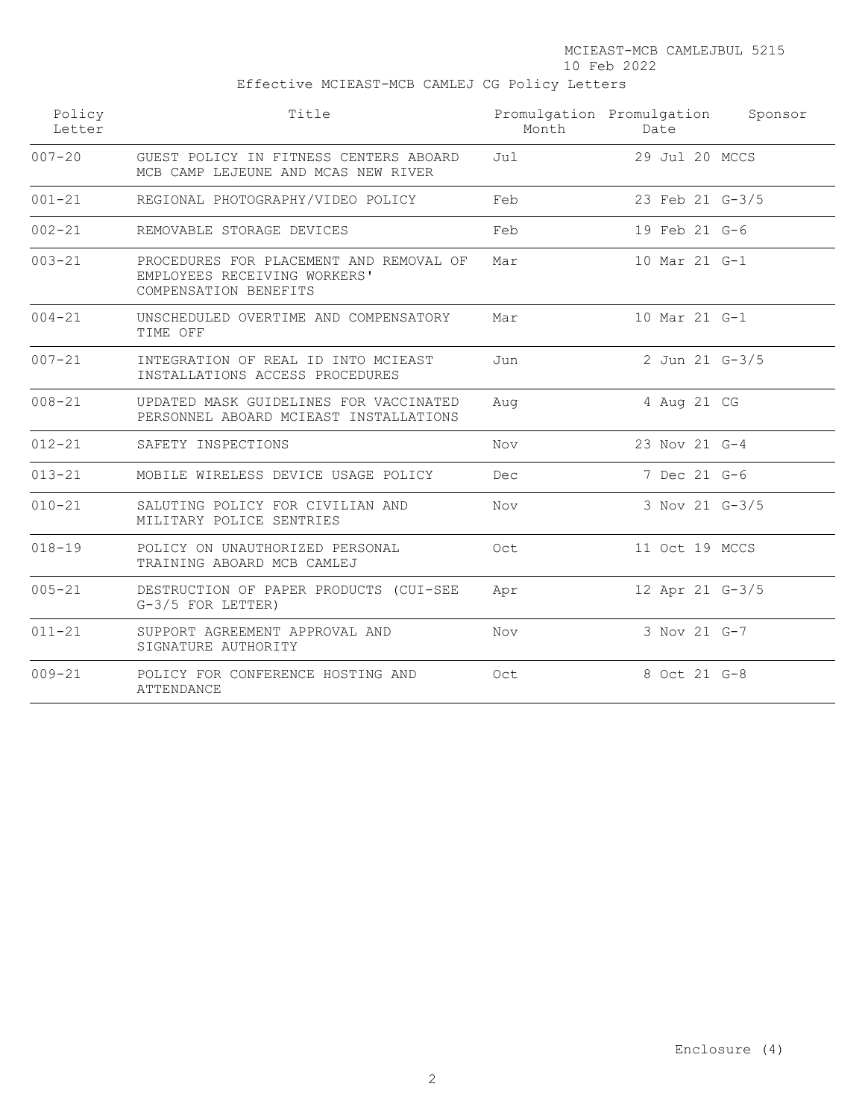MCIEAST-MCB CAMLEJBUL 5215

10 Feb 2022

Effective MCIEAST-MCB CAMLEJ CG Policy Letters

| Policy<br>Letter | Title<br>Month                                                                                   |     | Promulgation Promulgation Sponsor<br>Date |  |
|------------------|--------------------------------------------------------------------------------------------------|-----|-------------------------------------------|--|
| $007 - 20$       | GUEST POLICY IN FITNESS CENTERS ABOARD<br>MCB CAMP LEJEUNE AND MCAS NEW RIVER                    | Jul | 29 Jul 20 MCCS                            |  |
| $001 - 21$       | REGIONAL PHOTOGRAPHY/VIDEO POLICY                                                                | Feb | 23 Feb 21 G-3/5                           |  |
| $002 - 21$       | REMOVABLE STORAGE DEVICES                                                                        | Feb | 19 Feb 21 G-6                             |  |
| $003 - 21$       | PROCEDURES FOR PLACEMENT AND REMOVAL OF<br>EMPLOYEES RECEIVING WORKERS'<br>COMPENSATION BENEFITS | Mar | 10 Mar 21 G-1                             |  |
| $004 - 21$       | UNSCHEDULED OVERTIME AND COMPENSATORY<br>TIME OFF                                                | Mar | 10 Mar 21 G-1                             |  |
| $007 - 21$       | INTEGRATION OF REAL ID INTO MCIEAST<br>INSTALLATIONS ACCESS PROCEDURES                           | Jun | 2 Jun 21 G-3/5                            |  |
| $008 - 21$       | UPDATED MASK GUIDELINES FOR VACCINATED<br>PERSONNEL ABOARD MCIEAST INSTALLATIONS                 | Aug | 4 Aug 21 CG                               |  |
| $012 - 21$       | SAFETY INSPECTIONS                                                                               | Nov | 23 Nov 21 G-4                             |  |
| $013 - 21$       | MOBILE WIRELESS DEVICE USAGE POLICY                                                              | Dec | 7 Dec 21 G-6                              |  |
| $010 - 21$       | SALUTING POLICY FOR CIVILIAN AND<br>MILITARY POLICE SENTRIES                                     | Nov | 3 Nov 21 G-3/5                            |  |
| $018 - 19$       | POLICY ON UNAUTHORIZED PERSONAL<br>TRAINING ABOARD MCB CAMLEJ                                    | Oct | 11 Oct 19 MCCS                            |  |
| $005 - 21$       | DESTRUCTION OF PAPER PRODUCTS (CUI-SEE<br>$G-3/5$ FOR LETTER)                                    | Apr | 12 Apr 21 G-3/5                           |  |
| $011 - 21$       | SUPPORT AGREEMENT APPROVAL AND<br>SIGNATURE AUTHORITY                                            | Nov | 3 Nov 21 G-7                              |  |
| $009 - 21$       | POLICY FOR CONFERENCE HOSTING AND<br>ATTENDANCE                                                  | Oct | 8 Oct 21 G-8                              |  |